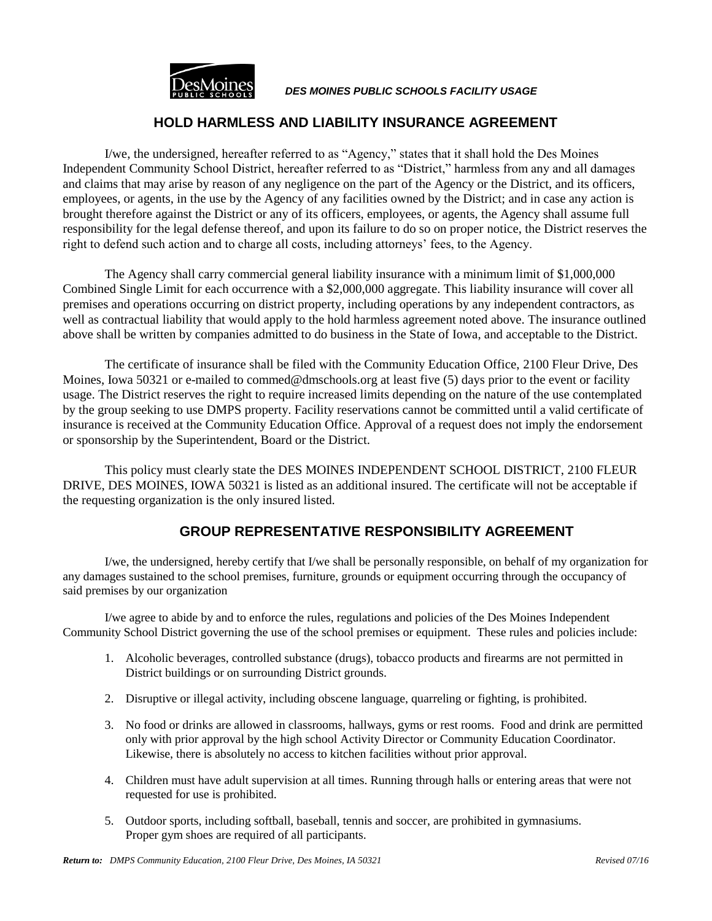

 *DES MOINES PUBLIC SCHOOLS FACILITY USAGE*

## **HOLD HARMLESS AND LIABILITY INSURANCE AGREEMENT**

I/we, the undersigned, hereafter referred to as "Agency," states that it shall hold the Des Moines Independent Community School District, hereafter referred to as "District," harmless from any and all damages and claims that may arise by reason of any negligence on the part of the Agency or the District, and its officers, employees, or agents, in the use by the Agency of any facilities owned by the District; and in case any action is brought therefore against the District or any of its officers, employees, or agents, the Agency shall assume full responsibility for the legal defense thereof, and upon its failure to do so on proper notice, the District reserves the right to defend such action and to charge all costs, including attorneys' fees, to the Agency.

The Agency shall carry commercial general liability insurance with a minimum limit of \$1,000,000 Combined Single Limit for each occurrence with a \$2,000,000 aggregate. This liability insurance will cover all premises and operations occurring on district property, including operations by any independent contractors, as well as contractual liability that would apply to the hold harmless agreement noted above. The insurance outlined above shall be written by companies admitted to do business in the State of Iowa, and acceptable to the District.

The certificate of insurance shall be filed with the Community Education Office, 2100 Fleur Drive, Des Moines, Iowa 50321 or e-mailed to commed@dmschools.org at least five (5) days prior to the event or facility usage. The District reserves the right to require increased limits depending on the nature of the use contemplated by the group seeking to use DMPS property. Facility reservations cannot be committed until a valid certificate of insurance is received at the Community Education Office. Approval of a request does not imply the endorsement or sponsorship by the Superintendent, Board or the District.

This policy must clearly state the DES MOINES INDEPENDENT SCHOOL DISTRICT, 2100 FLEUR DRIVE, DES MOINES, IOWA 50321 is listed as an additional insured. The certificate will not be acceptable if the requesting organization is the only insured listed.

## **GROUP REPRESENTATIVE RESPONSIBILITY AGREEMENT**

I/we, the undersigned, hereby certify that I/we shall be personally responsible, on behalf of my organization for any damages sustained to the school premises, furniture, grounds or equipment occurring through the occupancy of said premises by our organization

I/we agree to abide by and to enforce the rules, regulations and policies of the Des Moines Independent Community School District governing the use of the school premises or equipment. These rules and policies include:

- 1. Alcoholic beverages, controlled substance (drugs), tobacco products and firearms are not permitted in District buildings or on surrounding District grounds.
- 2. Disruptive or illegal activity, including obscene language, quarreling or fighting, is prohibited.
- 3. No food or drinks are allowed in classrooms, hallways, gyms or rest rooms. Food and drink are permitted only with prior approval by the high school Activity Director or Community Education Coordinator. Likewise, there is absolutely no access to kitchen facilities without prior approval.
- 4. Children must have adult supervision at all times. Running through halls or entering areas that were not requested for use is prohibited.
- 5. Outdoor sports, including softball, baseball, tennis and soccer, are prohibited in gymnasiums. Proper gym shoes are required of all participants.